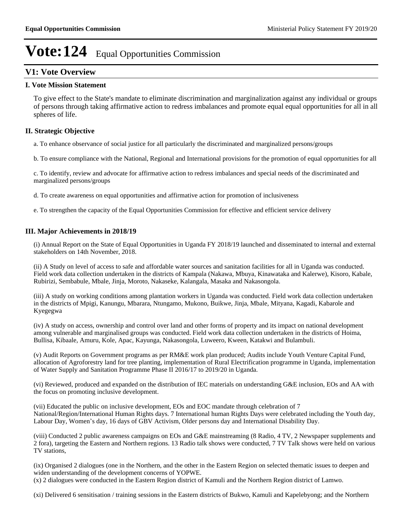# **V1: Vote Overview**

### **I. Vote Mission Statement**

To give effect to the State's mandate to eliminate discrimination and marginalization against any individual or groups of persons through taking affirmative action to redress imbalances and promote equal equal opportunities for all in all spheres of life.

### **II. Strategic Objective**

a. To enhance observance of social justice for all particularly the discriminated and marginalized persons/groups

b. To ensure compliance with the National, Regional and International provisions for the promotion of equal opportunities for all

c. To identify, review and advocate for affirmative action to redress imbalances and special needs of the discriminated and marginalized persons/groups

d. To create awareness on equal opportunities and affirmative action for promotion of inclusiveness

e. To strengthen the capacity of the Equal Opportunities Commission for effective and efficient service delivery

#### **III. Major Achievements in 2018/19**

(i) Annual Report on the State of Equal Opportunities in Uganda FY 2018/19 launched and disseminated to internal and external stakeholders on 14th November, 2018.

(ii) A Study on level of access to safe and affordable water sources and sanitation facilities for all in Uganda was conducted. Field work data collection undertaken in the districts of Kampala (Nakawa, Mbuya, Kinawataka and Kalerwe), Kisoro, Kabale, Rubirizi, Sembabule, Mbale, Jinja, Moroto, Nakaseke, Kalangala, Masaka and Nakasongola.

(iii) A study on working conditions among plantation workers in Uganda was conducted. Field work data collection undertaken in the districts of Mpigi, Kanungu, Mbarara, Ntungamo, Mukono, Buikwe, Jinja, Mbale, Mityana, Kagadi, Kabarole and Kyegegwa

(iv) A study on access, ownership and control over land and other forms of property and its impact on national development among vulnerable and marginalised groups was conducted. Field work data collection undertaken in the districts of Hoima, Bullisa, Kibaale, Amuru, Kole, Apac, Kayunga, Nakasongola, Luweero, Kween, Katakwi and Bulambuli.

(v) Audit Reports on Government programs as per RM&E work plan produced; Audits include Youth Venture Capital Fund, allocation of Agroforestry land for tree planting, implementation of Rural Electrification programme in Uganda, implementation of Water Supply and Sanitation Programme Phase II 2016/17 to 2019/20 in Uganda.

(vi) Reviewed, produced and expanded on the distribution of IEC materials on understanding G&E inclusion, EOs and AA with the focus on promoting inclusive development.

(vii) Educated the public on inclusive development, EOs and EOC mandate through celebration of 7 National/Region/International Human Rights days. 7 International human Rights Days were celebrated including the Youth day, Labour Day, Women's day, 16 days of GBV Activism, Older persons day and International Disability Day.

(viii) Conducted 2 public awareness campaigns on EOs and G&E mainstreaming (8 Radio, 4 TV, 2 Newspaper supplements and 2 fora), targeting the Eastern and Northern regions. 13 Radio talk shows were conducted, 7 TV Talk shows were held on various TV stations,

(ix) Organised 2 dialogues (one in the Northern, and the other in the Eastern Region on selected thematic issues to deepen and widen understanding of the development concerns of YOPWE.

(x) 2 dialogues were conducted in the Eastern Region district of Kamuli and the Northern Region district of Lamwo.

(xi) Delivered 6 sensitisation / training sessions in the Eastern districts of Bukwo, Kamuli and Kapelebyong; and the Northern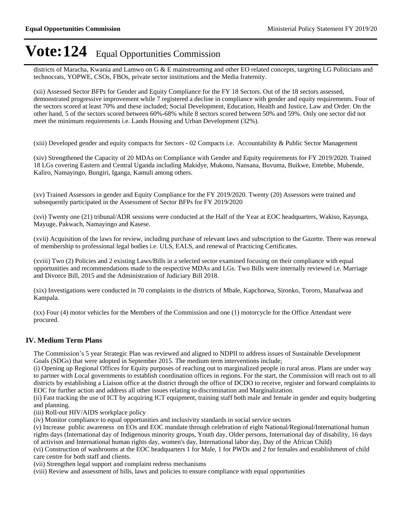districts of Maracha, Kwania and Lamwo on G & E mainstreaming and other EO related concepts, targeting LG Politicians and technocrats, YOPWE, CSOs, FBOs, private sector institutions and the Media fraternity.

(xii) Assessed Sector BFPs for Gender and Equity Compliance for the FY 18 Sectors. Out of the 18 sectors assessed, demonstrated progressive improvement while 7 registered a decline in compliance with gender and equity requirements. Four of the sectors scored at least 70% and these included; Social Development, Education, Health and Justice, Law and Order. On the other hand, 5 of the sectors scored between 60%-68% while 8 sectors scored between 50% and 59%. Only one sector did not meet the minimum requirements i.e. Lands Housing and Urban Development (32%).

(xiii) Developed gender and equity compacts for Sectors - 02 Compacts i.e. Accountability & Public Sector Management

(xiv) Strengthened the Capacity of 20 MDAs on Compliance with Gender and Equity requirements for FY 2019/2020. Trained 18 LGs covering Eastern and Central Uganda including Makidye, Mukono, Nansana, Buvuma, Buikwe, Entebbe, Mubende, Kaliro, Namayingo, Bungiri, Iganga, Kamuli among others.

(xv) Trained Assessors in gender and Equity Compliance for the FY 2019/2020. Twenty (20) Assessors were trained and subsequently participated in the Assessment of Sector BFPs for FY 2019/2020

(xvi) Twenty one (21) tribunal/ADR sessions were conducted at the Half of the Year at EOC headquarters, Wakiso, Kayunga, Mayuge, Pakwach, Namayingo and Kasese.

(xvii) Acquisition of the laws for review, including purchase of relevant laws and subscription to the Gazette. There was renewal of membership to professional legal bodies i.e. ULS, EALS, and renewal of Practicing Certificates.

(xviii) Two (2) Policies and 2 existing Laws/Bills in a selected sector examined focusing on their compliance with equal opportunities and recommendations made to the respective MDAs and LGs. Two Bills were internally reviewed i.e. Marriage and Divorce Bill, 2015 and the Administration of Judiciary Bill 2018.

(xix) Investigations were conducted in 70 complaints in the districts of Mbale, Kapchorwa, Sironko, Tororo, Manafwaa and Kampala.

(xx) Four (4) motor vehicles for the Members of the Commission and one (1) motorcycle for the Office Attendant were procured.

# **IV. Medium Term Plans**

The Commission's 5 year Strategic Plan was reviewed and aligned to NDPII to address issues of Sustainable Development Goals (SDGs) that were adopted in September 2015. The medium term interventions include;

(i) Opening up Regional Offices for Equity purposes of reaching out to marginalized people in rural areas. Plans are under way to partner with Local governments to establish coordination offices in regions. For the start, the Commission will reach out to all districts by establishing a Liaison office at the district through the office of DCDO to receive, register and forward complaints to EOC for further action and address all other issues relating to discrimination and Marginalization.

(ii) Fast tracking the use of ICT by acquiring ICT equipment, training staff both male and female in gender and equity budgeting and planning.

(iii) Roll-out HIV/AIDS workplace policy

(iv) Monitor compliance to equal opportunities and inclusivity standards in social service sectors

(v) Increase public awareness on EOs and EOC mandate through celebration of eight National/Regional/International human rights days (International day of Indigenous minority groups, Youth day, Older persons, International day of disability, 16 days of activism and International human rights day, women's day, International labor day, Day of the African Child)

(vi) Construction of washrooms at the EOC headquarters 1 for Male, 1 for PWDs and 2 for females and establishment of child care centre for both staff and clients.

(vii) Strengthen legal support and complaint redress mechanisms

(viii) Review and assessment of bills, laws and policies to ensure compliance with equal opportunities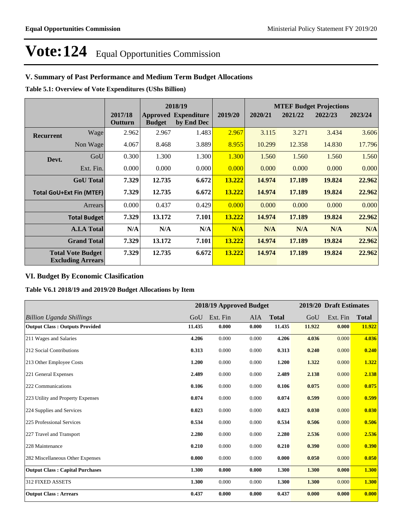# **V. Summary of Past Performance and Medium Term Budget Allocations**

**Table 5.1: Overview of Vote Expenditures (UShs Billion)**

|                  |                                                      |                    |               | 2018/19                                   |         | <b>MTEF Budget Projections</b> |         |         |         |
|------------------|------------------------------------------------------|--------------------|---------------|-------------------------------------------|---------|--------------------------------|---------|---------|---------|
|                  |                                                      | 2017/18<br>Outturn | <b>Budget</b> | <b>Approved Expenditure</b><br>by End Dec | 2019/20 | 2020/21                        | 2021/22 | 2022/23 | 2023/24 |
| <b>Recurrent</b> | Wage                                                 | 2.962              | 2.967         | 1.483                                     | 2.967   | 3.115                          | 3.271   | 3.434   | 3.606   |
|                  | Non Wage                                             | 4.067              | 8.468         | 3.889                                     | 8.955   | 10.299                         | 12.358  | 14.830  | 17.796  |
| Devt.            | GoU                                                  | 0.300              | 1.300         | 1.300                                     | 1.300   | 1.560                          | 1.560   | 1.560   | 1.560   |
|                  | Ext. Fin.                                            | 0.000              | 0.000         | 0.000                                     | 0.000   | 0.000                          | 0.000   | 0.000   | 0.000   |
|                  | <b>GoU</b> Total                                     | 7.329              | 12.735        | 6.672                                     | 13.222  | 14.974                         | 17.189  | 19.824  | 22.962  |
|                  | <b>Total GoU+Ext Fin (MTEF)</b>                      | 7.329              | 12.735        | 6.672                                     | 13.222  | 14.974                         | 17.189  | 19.824  | 22.962  |
|                  | Arrears                                              | 0.000              | 0.437         | 0.429                                     | 0.000   | 0.000                          | 0.000   | 0.000   | 0.000   |
|                  | <b>Total Budget</b>                                  | 7.329              | 13.172        | 7.101                                     | 13.222  | 14.974                         | 17.189  | 19.824  | 22.962  |
|                  | <b>A.I.A Total</b>                                   | N/A                | N/A           | N/A                                       | N/A     | N/A                            | N/A     | N/A     | N/A     |
|                  | <b>Grand Total</b>                                   | 7.329              | 13.172        | 7.101                                     | 13.222  | 14.974                         | 17.189  | 19.824  | 22.962  |
|                  | <b>Total Vote Budget</b><br><b>Excluding Arrears</b> | 7.329              | 12.735        | 6.672                                     | 13.222  | 14.974                         | 17.189  | 19.824  | 22.962  |

# **VI. Budget By Economic Clasification**

**Table V6.1 2018/19 and 2019/20 Budget Allocations by Item**

|                                        |        |          | 2018/19 Approved Budget |              |        | 2019/20 Draft Estimates |              |
|----------------------------------------|--------|----------|-------------------------|--------------|--------|-------------------------|--------------|
| <b>Billion Uganda Shillings</b>        | GoU    | Ext. Fin | AIA                     | <b>Total</b> | GoU    | Ext. Fin                | <b>Total</b> |
| <b>Output Class: Outputs Provided</b>  | 11.435 | 0.000    | 0.000                   | 11.435       | 11.922 | 0.000                   | 11.922       |
| 211 Wages and Salaries                 | 4.206  | 0.000    | 0.000                   | 4.206        | 4.036  | 0.000                   | 4.036        |
| 212 Social Contributions               | 0.313  | 0.000    | 0.000                   | 0.313        | 0.240  | 0.000                   | 0.240        |
| 213 Other Employee Costs               | 1.200  | 0.000    | 0.000                   | 1.200        | 1.322  | 0.000                   | 1.322        |
| 221 General Expenses                   | 2.489  | 0.000    | 0.000                   | 2.489        | 2.138  | 0.000                   | 2.138        |
| 222 Communications                     | 0.106  | 0.000    | 0.000                   | 0.106        | 0.075  | 0.000                   | 0.075        |
| 223 Utility and Property Expenses      | 0.074  | 0.000    | 0.000                   | 0.074        | 0.599  | 0.000                   | 0.599        |
| 224 Supplies and Services              | 0.023  | 0.000    | 0.000                   | 0.023        | 0.030  | 0.000                   | 0.030        |
| 225 Professional Services              | 0.534  | 0.000    | 0.000                   | 0.534        | 0.506  | 0.000                   | 0.506        |
| 227 Travel and Transport               | 2.280  | 0.000    | 0.000                   | 2.280        | 2.536  | 0.000                   | 2.536        |
| 228 Maintenance                        | 0.210  | 0.000    | 0.000                   | 0.210        | 0.390  | 0.000                   | 0.390        |
| 282 Miscellaneous Other Expenses       | 0.000  | 0.000    | 0.000                   | 0.000        | 0.050  | 0.000                   | 0.050        |
| <b>Output Class: Capital Purchases</b> | 1.300  | 0.000    | 0.000                   | 1.300        | 1.300  | 0.000                   | 1.300        |
| 312 FIXED ASSETS                       | 1.300  | 0.000    | 0.000                   | 1.300        | 1.300  | 0.000                   | 1.300        |
| <b>Output Class: Arrears</b>           | 0.437  | 0.000    | 0.000                   | 0.437        | 0.000  | 0.000                   | 0.000        |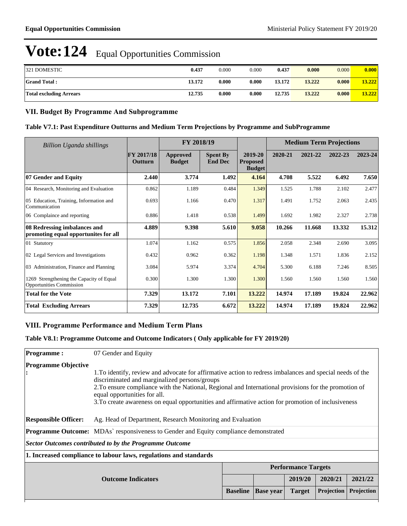| <b>321 DOMESTIC</b>            | 0.437  | 0.000 | 0.000 | 0.437  | 0.000  | 0.000 | 0.000  |
|--------------------------------|--------|-------|-------|--------|--------|-------|--------|
| <b>Grand Total:</b>            | 13.172 | 0.000 | 0.000 | 13.172 | 13.222 | 0.000 | 13.222 |
| <b>Total excluding Arrears</b> | 12.735 | 0.000 | 0.000 | 12.735 | 13.222 | 0.000 | 13.222 |

### **VII. Budget By Programme And Subprogramme**

#### **Table V7.1: Past Expenditure Outturns and Medium Term Projections by Programme and SubProgramme**

| <b>Billion Uganda shillings</b>                                             |                                     | FY 2018/19                       |                                   |                                             | <b>Medium Term Projections</b> |         |         |         |
|-----------------------------------------------------------------------------|-------------------------------------|----------------------------------|-----------------------------------|---------------------------------------------|--------------------------------|---------|---------|---------|
|                                                                             | <b>FY 2017/18</b><br><b>Outturn</b> | <b>Approved</b><br><b>Budget</b> | <b>Spent By</b><br><b>End Dec</b> | 2019-20<br><b>Proposed</b><br><b>Budget</b> | 2020-21                        | 2021-22 | 2022-23 | 2023-24 |
| 07 Gender and Equity                                                        | 2.440                               | 3.774                            | 1.492                             | 4.164                                       | 4.708                          | 5.522   | 6.492   | 7.650   |
| 04 Research, Monitoring and Evaluation                                      | 0.862                               | 1.189                            | 0.484                             | 1.349                                       | 1.525                          | 1.788   | 2.102   | 2.477   |
| 05 Education, Training, Information and<br>Communication                    | 0.693                               | 1.166                            | 0.470                             | 1.317                                       | 1.491                          | 1.752   | 2.063   | 2.435   |
| 06 Complaince and reporting                                                 | 0.886                               | 1.418                            | 0.538                             | 1.499                                       | 1.692                          | 1.982   | 2.327   | 2.738   |
| 08 Redressing imbalances and<br>promoting equal opportunites for all        | 4.889                               | 9.398                            | 5.610                             | 9.058                                       | 10.266                         | 11.668  | 13.332  | 15.312  |
| 01 Statutory                                                                | 1.074                               | 1.162                            | 0.575                             | 1.856                                       | 2.058                          | 2.348   | 2.690   | 3.095   |
| 02 Legal Services and Investigations                                        | 0.432                               | 0.962                            | 0.362                             | 1.198                                       | 1.348                          | 1.571   | 1.836   | 2.152   |
| 03 Administration, Finance and Planning                                     | 3.084                               | 5.974                            | 3.374                             | 4.704                                       | 5.300                          | 6.188   | 7.246   | 8.505   |
| 1269 Strengthening the Capacity of Equal<br><b>Opportunities Commission</b> | 0.300                               | 1.300                            | 1.300                             | 1.300                                       | 1.560                          | 1.560   | 1.560   | 1.560   |
| <b>Total for the Vote</b>                                                   | 7.329                               | 13.172                           | 7.101                             | 13.222                                      | 14.974                         | 17.189  | 19.824  | 22.962  |
| <b>Total Excluding Arrears</b>                                              | 7.329                               | 12.735                           | 6.672                             | 13.222                                      | 14.974                         | 17.189  | 19.824  | 22.962  |

# **VIII. Programme Performance and Medium Term Plans**

### **Table V8.1: Programme Outcome and Outcome Indicators ( Only applicable for FY 2019/20)**

| <b>Programme:</b>                 | 07 Gender and Equity                                                                                                                                                                                                                                                                                                                                                                                       |                 |                  |                            |            |            |  |  |  |
|-----------------------------------|------------------------------------------------------------------------------------------------------------------------------------------------------------------------------------------------------------------------------------------------------------------------------------------------------------------------------------------------------------------------------------------------------------|-----------------|------------------|----------------------------|------------|------------|--|--|--|
| <b>Programme Objective</b><br>: ا | 1. To identify, review and advocate for affirmative action to redress imbalances and special needs of the<br>discriminated and marginalized persons/groups<br>2. To ensure compliance with the National, Regional and International provisions for the promotion of<br>equal opportunities for all.<br>3. To create awareness on equal opportunities and affirmative action for promotion of inclusiveness |                 |                  |                            |            |            |  |  |  |
| <b>Responsible Officer:</b>       | Ag. Head of Department, Research Monitoring and Evaluation                                                                                                                                                                                                                                                                                                                                                 |                 |                  |                            |            |            |  |  |  |
|                                   | <b>Programme Outcome:</b> MDAs` responsiveness to Gender and Equity compliance demonstrated                                                                                                                                                                                                                                                                                                                |                 |                  |                            |            |            |  |  |  |
|                                   | Sector Outcomes contributed to by the Programme Outcome                                                                                                                                                                                                                                                                                                                                                    |                 |                  |                            |            |            |  |  |  |
|                                   | 1. Increased compliance to labour laws, regulations and standards                                                                                                                                                                                                                                                                                                                                          |                 |                  |                            |            |            |  |  |  |
|                                   |                                                                                                                                                                                                                                                                                                                                                                                                            |                 |                  | <b>Performance Targets</b> |            |            |  |  |  |
|                                   | 2019/20<br>2020/21<br>2021/22<br><b>Outcome Indicators</b>                                                                                                                                                                                                                                                                                                                                                 |                 |                  |                            |            |            |  |  |  |
|                                   |                                                                                                                                                                                                                                                                                                                                                                                                            | <b>Baseline</b> | <b>Base year</b> | <b>Target</b>              | Projection | Projection |  |  |  |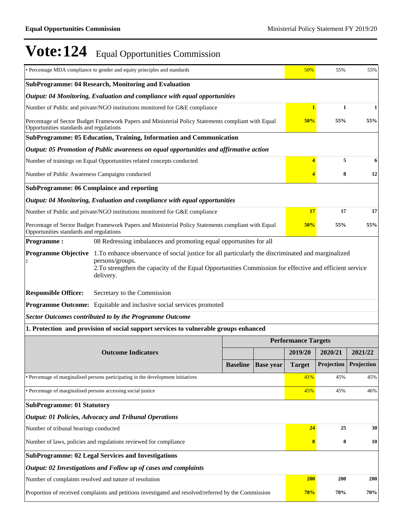|                                                                                                                           | • Percentage MDA compliance to gender and equity principles and standards                                                               |                 |                  | 50%                        | 55%        | 55%        |  |
|---------------------------------------------------------------------------------------------------------------------------|-----------------------------------------------------------------------------------------------------------------------------------------|-----------------|------------------|----------------------------|------------|------------|--|
| SubProgramme: 04 Research, Monitoring and Evaluation                                                                      |                                                                                                                                         |                 |                  |                            |            |            |  |
|                                                                                                                           | Output: 04 Monitoring, Evaluation and compliance with equal opportunities                                                               |                 |                  |                            |            |            |  |
| Number of Public and private/NGO institutions monitored for G&E compliance                                                | 1                                                                                                                                       | $\mathbf{1}$    | 1                |                            |            |            |  |
| Opportunities standards and regulations                                                                                   | Percentage of Sector Budget Framework Papers and Ministerial Policy Statements compliant with Equal                                     |                 |                  | 50%                        | 55%        | 55%        |  |
|                                                                                                                           | SubProgramme: 05 Education, Training, Information and Communication                                                                     |                 |                  |                            |            |            |  |
|                                                                                                                           | Output: 05 Promotion of Public awareness on equal opportunities and affirmative action                                                  |                 |                  |                            |            |            |  |
|                                                                                                                           | Number of trainings on Equal Opportunities related concepts conducted                                                                   |                 |                  | 4                          | 5          | 6          |  |
| Number of Public Awareness Campaigns conducted                                                                            |                                                                                                                                         |                 |                  | 4                          | 8          | 12         |  |
|                                                                                                                           | <b>SubProgramme: 06 Complaince and reporting</b>                                                                                        |                 |                  |                            |            |            |  |
|                                                                                                                           | Output: 04 Monitoring, Evaluation and compliance with equal opportunities                                                               |                 |                  |                            |            |            |  |
|                                                                                                                           | Number of Public and private/NGO institutions monitored for G&E compliance                                                              |                 |                  | 17                         | 17         | 17         |  |
| Opportunities standards and regulations                                                                                   | Percentage of Sector Budget Framework Papers and Ministerial Policy Statements compliant with Equal                                     |                 |                  | 50%                        | 55%        | 55%        |  |
| <b>Programme:</b>                                                                                                         | 08 Redressing imbalances and promoting equal opportunites for all                                                                       |                 |                  |                            |            |            |  |
| <b>Programme Objective</b>                                                                                                | 1. To enhance observance of social justice for all particularly the discriminated and marginalized                                      |                 |                  |                            |            |            |  |
|                                                                                                                           | persons/groups.<br>2. To strengthen the capacity of the Equal Opportunities Commission for effective and efficient service<br>delivery. |                 |                  |                            |            |            |  |
| <b>Responsible Officer:</b>                                                                                               | Secretary to the Commission                                                                                                             |                 |                  |                            |            |            |  |
|                                                                                                                           | <b>Programme Outcome:</b> Equitable and inclusive social services promoted                                                              |                 |                  |                            |            |            |  |
|                                                                                                                           | <b>Sector Outcomes contributed to by the Programme Outcome</b>                                                                          |                 |                  |                            |            |            |  |
|                                                                                                                           | 1. Protection and provision of social support services to vulnerable groups enhanced                                                    |                 |                  |                            |            |            |  |
|                                                                                                                           |                                                                                                                                         |                 |                  | <b>Performance Targets</b> |            |            |  |
|                                                                                                                           | <b>Outcome Indicators</b>                                                                                                               |                 |                  | 2019/20                    | 2020/21    | 2021/22    |  |
|                                                                                                                           |                                                                                                                                         | <b>Baseline</b> | <b>Base year</b> | <b>Target</b>              | Projection | Projection |  |
|                                                                                                                           | • Percentage of marginalised persons participating in the development initiatives                                                       |                 |                  | 41%                        | 45%        | 45%        |  |
| • Percentage of marginalised persons accessing social justice                                                             |                                                                                                                                         |                 |                  | 45%                        | 45%        | 46%        |  |
| <b>SubProgramme: 01 Statutory</b>                                                                                         |                                                                                                                                         |                 |                  |                            |            |            |  |
|                                                                                                                           | <b>Output: 01 Policies, Advocacy and Tribunal Operations</b>                                                                            |                 |                  |                            |            |            |  |
| 24<br>Number of tribunal hearings conducted<br>25<br>30                                                                   |                                                                                                                                         |                 |                  |                            |            |            |  |
| Number of laws, policies and regulations reviewed for compliance<br>8<br>8                                                |                                                                                                                                         |                 |                  |                            |            |            |  |
|                                                                                                                           | <b>SubProgramme: 02 Legal Services and Investigations</b>                                                                               |                 |                  |                            |            |            |  |
|                                                                                                                           | Output: 02 Investigations and Follow up of cases and complaints                                                                         |                 |                  |                            |            |            |  |
|                                                                                                                           | Number of complaints resolved and nature of resolution                                                                                  |                 |                  | <b>200</b>                 | 200        | <b>200</b> |  |
| 70%<br>Proportion of received complaints and petitions investigated and resolved/referred by the Commission<br>70%<br>70% |                                                                                                                                         |                 |                  |                            |            |            |  |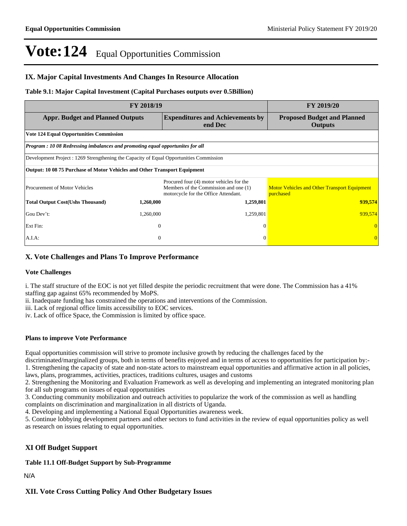### **IX. Major Capital Investments And Changes In Resource Allocation**

#### **Table 9.1: Major Capital Investment (Capital Purchases outputs over 0.5Billion)**

|                                                                                         | FY 2019/20   |                                                                                                                           |                                                                  |
|-----------------------------------------------------------------------------------------|--------------|---------------------------------------------------------------------------------------------------------------------------|------------------------------------------------------------------|
| <b>Appr. Budget and Planned Outputs</b>                                                 |              | <b>Proposed Budget and Planned</b><br><b>Outputs</b>                                                                      |                                                                  |
| <b>Vote 124 Equal Opportunities Commission</b>                                          |              |                                                                                                                           |                                                                  |
| <b>Program : 10 08 Redressing imbalances and promoting equal opportunites for all</b>   |              |                                                                                                                           |                                                                  |
| Development Project : 1269 Strengthening the Capacity of Equal Opportunities Commission |              |                                                                                                                           |                                                                  |
| Output: 10 08 75 Purchase of Motor Vehicles and Other Transport Equipment               |              |                                                                                                                           |                                                                  |
| <b>Procurement of Motor Vehicles</b>                                                    |              | Procured four (4) motor vehicles for the<br>Members of the Commission and one (1)<br>motorcycle for the Office Attendant. | <b>Motor Vehicles and Other Transport Equipment</b><br>purchased |
| <b>Total Output Cost(Ushs Thousand)</b>                                                 | 1,260,000    | 1,259,801                                                                                                                 | 939,574                                                          |
| Gou Dev't:                                                                              | 1,260,000    | 1,259,801                                                                                                                 | 939,574                                                          |
| Ext Fin:                                                                                | $\Omega$     | $\Omega$                                                                                                                  |                                                                  |
| A.I.A:                                                                                  | $\mathbf{0}$ | $\Omega$                                                                                                                  | $\Omega$                                                         |

### **X. Vote Challenges and Plans To Improve Performance**

#### **Vote Challenges**

i. The staff structure of the EOC is not yet filled despite the periodic recruitment that were done. The Commission has a 41% staffing gap against 65% recommended by MoPS.

ii. Inadequate funding has constrained the operations and interventions of the Commission.

iii. Lack of regional office limits accessibility to EOC services.

iv. Lack of office Space, the Commission is limited by office space.

### **Plans to improve Vote Performance**

Equal opportunities commission will strive to promote inclusive growth by reducing the challenges faced by the

discriminated/marginalized groups, both in terms of benefits enjoyed and in terms of access to opportunities for participation by:-1. Strengthening the capacity of state and non-state actors to mainstream equal opportunities and affirmative action in all policies, laws, plans, programmes, activities, practices, traditions cultures, usages and customs

2. Strengthening the Monitoring and Evaluation Framework as well as developing and implementing an integrated monitoring plan for all sub programs on issues of equal opportunities

3. Conducting community mobilization and outreach activities to popularize the work of the commission as well as handling complaints on discrimination and marginalization in all districts of Uganda.

4. Developing and implementing a National Equal Opportunities awareness week.

5. Continue lobbying development partners and other sectors to fund activities in the review of equal opportunities policy as well as research on issues relating to equal opportunities.

# **XI Off Budget Support**

**Table 11.1 Off-Budget Support by Sub-Programme**

#### N/A

### **XII. Vote Cross Cutting Policy And Other Budgetary Issues**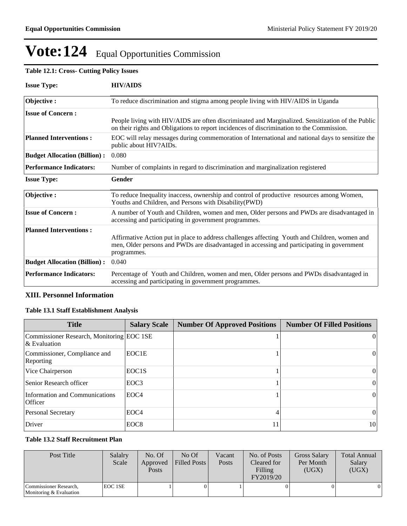# **Table 12.1: Cross- Cutting Policy Issues**

| <b>Issue Type:</b>                  | <b>HIV/AIDS</b>                                                                                                                                                                                            |
|-------------------------------------|------------------------------------------------------------------------------------------------------------------------------------------------------------------------------------------------------------|
| Objective:                          | To reduce discrimination and stigma among people living with HIV/AIDS in Uganda                                                                                                                            |
| <b>Issue of Concern:</b>            |                                                                                                                                                                                                            |
|                                     | People living with HIV/AIDS are often discriminated and Marginalized. Sensitization of the Public<br>on their rights and Obligations to report incidences of discrimination to the Commission.             |
| <b>Planned Interventions:</b>       | EOC will relay messages during commemoration of International and national days to sensitize the<br>public about HIV?AIDs.                                                                                 |
| <b>Budget Allocation (Billion):</b> | 0.080                                                                                                                                                                                                      |
| <b>Performance Indicators:</b>      | Number of complaints in regard to discrimination and marginalization registered                                                                                                                            |
| <b>Issue Type:</b>                  | Gender                                                                                                                                                                                                     |
| Objective:                          | To reduce Inequality inaccess, ownership and control of productive resources among Women,<br>Youths and Children, and Persons with Disability (PWD)                                                        |
| <b>Issue of Concern:</b>            | A number of Youth and Children, women and men, Older persons and PWDs are disadvantaged in<br>accessing and participating in government programmes.                                                        |
| <b>Planned Interventions:</b>       |                                                                                                                                                                                                            |
|                                     | Affirmative Action put in place to address challenges affecting Youth and Children, women and<br>men, Older persons and PWDs are disadvantaged in accessing and participating in government<br>programmes. |
| <b>Budget Allocation (Billion):</b> | 0.040                                                                                                                                                                                                      |
| <b>Performance Indicators:</b>      | Percentage of Youth and Children, women and men, Older persons and PWDs disadvantaged in<br>accessing and participating in government programmes.                                                          |

#### **XIII. Personnel Information**

#### **Table 13.1 Staff Establishment Analysis**

| <b>Title</b>                                                 | <b>Salary Scale</b> | <b>Number Of Approved Positions</b> | <b>Number Of Filled Positions</b> |
|--------------------------------------------------------------|---------------------|-------------------------------------|-----------------------------------|
| Commissioner Research, Monitoring EOC 1SE<br>$\&$ Evaluation |                     |                                     | $\Omega$                          |
| Commissioner, Compliance and<br>Reporting                    | EOC1E               |                                     | 0                                 |
| Vice Chairperson                                             | EOC <sub>1</sub> S  |                                     | $\bf{0}$                          |
| Senior Research officer                                      | EOC <sub>3</sub>    |                                     | 0                                 |
| Information and Communications<br>Officer                    | EOC4                |                                     | 0                                 |
| <b>Personal Secretary</b>                                    | EOC <sub>4</sub>    |                                     | $\mathbf{0}$                      |
| Driver                                                       | EOC <sub>8</sub>    | 11                                  | 10                                |

#### **Table 13.2 Staff Recruitment Plan**

| Post Title                                        | Salalry<br>Scale | No. Of<br>Approved<br><b>Posts</b> | $No$ Of<br>Filled Posts | Vacant<br>Posts | No. of Posts<br>Cleared for<br>Filling<br>FY2019/20 | <b>Gross Salary</b><br>Per Month<br>(UGX) | <b>Total Annual</b><br>Salary<br>(UGX) |
|---------------------------------------------------|------------------|------------------------------------|-------------------------|-----------------|-----------------------------------------------------|-------------------------------------------|----------------------------------------|
| Commissioner Research,<br>Monitoring & Evaluation | EOC 1SE          |                                    |                         |                 |                                                     | $\left($                                  |                                        |